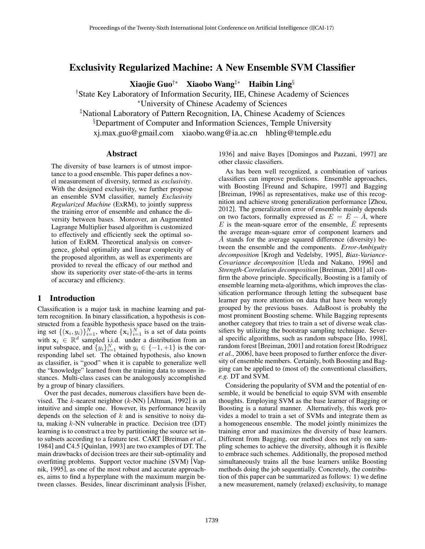# Exclusivity Regularized Machine: A New Ensemble SVM Classifier

Xiaojie Guo†∗ Xiaobo Wang‡∗ Haibin Ling§

†State Key Laboratory of Information Security, IIE, Chinese Academy of Sciences <sup>∗</sup>University of Chinese Academy of Sciences

‡National Laboratory of Pattern Recognition, IA, Chinese Academy of Sciences

§Department of Computer and Information Sciences, Temple University

xj.max.guo@gmail.com xiaobo.wang@ia.ac.cn hbling@temple.edu

### Abstract

The diversity of base learners is of utmost importance to a good ensemble. This paper defines a novel measurement of diversity, termed as *exclusivity*. With the designed exclusivity, we further propose an ensemble SVM classifier, namely *Exclusivity Regularized Machine* (ExRM), to jointly suppress the training error of ensemble and enhance the diversity between bases. Moreover, an Augmented Lagrange Multiplier based algorithm is customized to effectively and efficiently seek the optimal solution of ExRM. Theoretical analysis on convergence, global optimality and linear complexity of the proposed algorithm, as well as experiments are provided to reveal the efficacy of our method and show its superiority over state-of-the-arts in terms of accuracy and efficiency.

### 1 Introduction

Classification is a major task in machine learning and pattern recognition. In binary classification, a hypothesis is constructed from a feasible hypothesis space based on the training set  $\{(\mathbf{x}_i, y_i)\}_{i=1}^N$ , where  $\{\mathbf{x}_i\}_{i=1}^N$  is a set of data points with  $x_i \in \mathbb{R}^d$  sampled i.i.d. under a distribution from an input subspace, and  $\{y_i\}_{i=1}^N$  with  $y_i \in \{-1, +1\}$  is the corresponding label set. The obtained hypothesis, also known as classifier, is "good" when it is capable to generalize well the "knowledge" learned from the training data to unseen instances. Multi-class cases can be analogously accomplished by a group of binary classifiers.

Over the past decades, numerous classifiers have been devised. The k-nearest neighbor  $(k-NN)$  [Altman, 1992] is an intuitive and simple one. However, its performance heavily depends on the selection of  $k$  and is sensitive to noisy data, making  $k$ -NN vulnerable in practice. Decision tree (DT) learning is to construct a tree by partitioning the source set into subsets according to a feature test. CART [Breiman *et al.*, 1984] and C4.5 [Quinlan, 1993] are two examples of DT. The main drawbacks of decision trees are their sub-optimality and overfitting problems. Support vector machine (SVM) [Vapnik, 1995], as one of the most robust and accurate approaches, aims to find a hyperplane with the maximum margin between classes. Besides, linear discriminant analysis [Fisher,

1936] and naive Bayes [Domingos and Pazzani, 1997] are other classic classifiers.

As has been well recognized, a combination of various classifiers can improve predictions. Ensemble approaches, with Boosting [Freund and Schapire, 1997] and Bagging [Breiman, 1996] as representatives, make use of this recognition and achieve strong generalization performance [Zhou, 2012]. The generalization error of ensemble mainly depends on two factors, formally expressed as  $E = \overline{E} - \overline{A}$ , where  $E$  is the mean-square error of the ensemble,  $\overline{E}$  represents the average mean-square error of component learners and  $\overline{A}$  stands for the average squared difference (diversity) between the ensemble and the components. *Error-Ambiguity decomposition* [Krogh and Vedelsby, 1995], *Bias-Variance-Covariance decomposition* [Ueda and Nakano, 1996] and *Strength-Correlation decomposition* [Breiman, 2001] all confirm the above principle. Specifically, Boosting is a family of ensemble learning meta-algorithms, which improves the classification performance through letting the subsequent base learner pay more attention on data that have been wrongly grouped by the previous bases. AdaBoost is probably the most prominent Boosting scheme. While Bagging represents another category that tries to train a set of diverse weak classifiers by utilizing the bootstrap sampling technique. Several specific algorithms, such as random subspace [Ho, 1998], random forest [Breiman, 2001] and rotation forest [Rodriguez *et al.*, 2006], have been proposed to further enforce the diversity of ensemble members. Certainly, both Boosting and Bagging can be applied to (most of) the conventional classifiers, *e.g.* DT and SVM.

Considering the popularity of SVM and the potential of ensemble, it would be beneficial to equip SVM with ensemble thoughts. Employing SVM as the base learner of Bagging or Boosting is a natural manner. Alternatively, this work provides a model to train a set of SVMs and integrate them as a homogeneous ensemble. The model jointly minimizes the training error and maximizes the diversity of base learners. Different from Bagging, our method does not rely on sampling schemes to achieve the diversity, although it is flexible to embrace such schemes. Additionally, the proposed method simultaneously trains all the base learners unlike Boosting methods doing the job sequentially. Concretely, the contribution of this paper can be summarized as follows: 1) we define a new measurement, namely (relaxed) exclusivity, to manage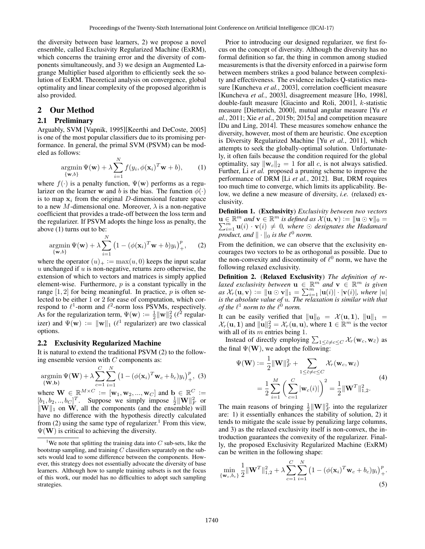the diversity between base learners, 2) we propose a novel ensemble, called Exclusivity Regularized Machine (ExRM), which concerns the training error and the diversity of components simultaneously, and 3) we design an Augmented Lagrange Multiplier based algorithm to efficiently seek the solution of ExRM. Theoretical analysis on convergence, global optimality and linear complexity of the proposed algorithm is also provided.

## 2 Our Method

### 2.1 Preliminary

Arguably, SVM [Vapnik, 1995][Keerthi and DeCoste, 2005] is one of the most popular classifiers due to its promising performance. In general, the primal SVM (PSVM) can be modeled as follows:

$$
\underset{\{\mathbf{w},b\}}{\text{argmin}} \Psi(\mathbf{w}) + \lambda \sum_{i=1}^{N} f(y_i, \phi(\mathbf{x}_i)^T \mathbf{w} + b), \quad (1)
$$

where  $f(\cdot)$  is a penalty function,  $\Psi(\mathbf{w})$  performs as a regularizer on the learner w and b is the bias. The function  $\phi(\cdot)$ is to map  $x_i$  from the original D-dimensional feature space to a new M-dimensional one. Moreover,  $\lambda$  is a non-negative coefficient that provides a trade-off between the loss term and the regularizer. If PSVM adopts the hinge loss as penalty, the above (1) turns out to be:

$$
\underset{\{\mathbf{w},b\}}{\text{argmin}} \Psi(\mathbf{w}) + \lambda \sum_{i=1}^{N} \left(1 - (\phi(\mathbf{x}_i)^T \mathbf{w} + b) y_i\right)_+^p, \quad (2)
$$

where the operator  $(u)_+ := \max(u, 0)$  keeps the input scalar u unchanged if  $u$  is non-negative, returns zero otherwise, the extension of which to vectors and matrices is simply applied element-wise. Furthermore,  $p$  is a constant typically in the range  $[1, 2]$  for being meaningful. In practice, p is often selected to be either 1 or 2 for ease of computation, which correspond to  $\ell^1$ -norm and  $\ell^2$ -norm loss PSVMs, respectively. As for the regularization term,  $\Psi(\mathbf{w}) := \frac{1}{2} ||\mathbf{w}||_2^2$  ( $\ell^2$  regularizer) and  $\Psi(\mathbf{w}) := \|\mathbf{w}\|_1$  ( $\ell^1$  regularizer) are two classical options.

#### 2.2 Exclusivity Regularized Machine

It is natural to extend the traditional PSVM (2) to the following ensemble version with  $C$  components as:

$$
\underset{\{\mathbf{W},\mathbf{b}\}}{\text{argmin}} \Psi(\mathbf{W}) + \lambda \sum_{c=1}^{C} \sum_{i=1}^{N} \left(1 - \left(\phi(\mathbf{x}_i)^T \mathbf{w}_c + b_c\right) y_i\right)_+^p, \tag{3}
$$

where  $\mathbf{W} \in \mathbb{R}^{M \times C} := [\mathbf{w}_1, \mathbf{w}_2, ..., \mathbf{w}_C]$  and  $\mathbf{b} \in \mathbb{R}^C :=$  $[b_1, b_2, ..., b_C]^T$ . Suppose we simply impose  $\frac{1}{2} ||\mathbf{W}||_F^2$  or  $\|\mathbf{W}\|_1$  on W, all the components (and the ensemble) will have no difference with the hypothesis directly calculated from (2) using the same type of regularizer.<sup>1</sup> From this view,  $\Psi(\mathbf{W})$  is critical to achieving the diversity.

Prior to introducing our designed regularizer, we first focus on the concept of diversity. Although the diversity has no formal definition so far, the thing in common among studied measurements is that the diversity enforced in a pairwise form between members strikes a good balance between complexity and effectiveness. The evidence includes Q-statistics measure [Kuncheva *et al.*, 2003], correlation coefficient measure [Kuncheva *et al.*, 2003], disagreement measure [Ho, 1998], double-fault measure [Giacinto and Roli, 2001], k-statistic measure [Dietterich, 2000], mutual angular measure [Yu *et al.*, 2011; Xie *et al.*, 2015b; 2015a] and competition measure [Du and Ling, 2014]. These measures somehow enhance the diversity, however, most of them are heuristic. One exception is Diversity Regularized Machine [Yu *et al.*, 2011], which attempts to seek the globally-optimal solution. Unfortunately, it often fails because the condition required for the global optimality, say  $\|\mathbf{w}_c\|_2 = 1$  for all c, is not always satisfied. Further, Li *et al.* proposed a pruning scheme to improve the performance of DRM [Li *et al.*, 2012]. But, DRM requires too much time to converge, which limits its applicability. Below, we define a new measure of diversity, *i.e.* (relaxed) exclusivity.

Definition 1. (Exclusivity) *Exclusivity between two vectors*  $\mathbf{u} \in \mathbb{R}^m$  and  $\mathbf{v} \in \mathbb{R}^m$ P  $\theta \in \mathbb{R}^m$  and  $\mathbf{v} \in \mathbb{R}^m$  is defined as  $\mathcal{X}(\mathbf{u}, \mathbf{v}) := \|\mathbf{u} \odot \mathbf{v}\|_0 =$ <br>  $\sum_{i=1}^m \mathbf{u}(i) \cdot \mathbf{v}(i) \neq 0$ , where  $\odot$  designates the Hadamard *product, and*  $\|\cdot\|_0$  *is the*  $\ell^0$  *norm.* 

From the definition, we can observe that the exclusivity encourages two vectors to be as orthogonal as possible. Due to the non-convexity and discontinuity of  $\ell^0$  norm, we have the following relaxed exclusivity.

Definition 2. (Relaxed Exclusivity) *The definition of relaxed exclusivity between*  $\mathbf{u} \in \mathbb{R}^m$  *and*  $\mathbf{v} \in \mathbb{R}^m$  *is given* as  $\mathcal{X}_r(\mathbf{u}, \mathbf{v}) := ||\mathbf{u} \odot \mathbf{v}||_1 = \sum_{i=1}^m |\mathbf{u}(i)| \cdot |\mathbf{v}(i)|$ *, where*  $|u|$ *is the absolute value of* u*. The relaxation is similar with that of the*  $\ell^1$  *norm to the*  $\ell^0$  *norm.* 

It can be easily verified that  $\|\mathbf{u}\|_0 = \mathcal{X} (\mathbf{u}, \mathbf{1}), \| \mathbf{u} \|_1 =$  $\mathcal{X}_r(\mathbf{u}, 1)$  and  $\|\mathbf{u}\|_2^2 = \mathcal{X}_r(\mathbf{u}, \mathbf{u})$ , where  $\mathbf{1} \in \mathbb{R}^m$  is the vector with all of its  $m$  entries being 1.

Instead of directly employing  $\sum_{1 \leq \tilde{c} \neq c \leq C} \chi_r(\mathbf{w}_c, \mathbf{w}_{\tilde{c}})$  as the final  $\Psi(\mathbf{W})$ , we adopt the following:

$$
\Psi(\mathbf{W}) := \frac{1}{2} ||\mathbf{W}||_F^2 + \sum_{1 \le \tilde{c} \neq c \le C} \chi_r(\mathbf{w}_c, \mathbf{w}_{\tilde{c}})
$$
  
= 
$$
\frac{1}{2} \sum_{i=1}^M \left( \sum_{c=1}^C |\mathbf{w}_c(i)| \right)^2 = \frac{1}{2} ||\mathbf{W}^T||_{1,2}^2.
$$
 (4)

The main reasons of bringing  $\frac{1}{2} ||\mathbf{W}||_F^2$  into the regularizer are: 1) it essentially enhances the stability of solution, 2) it tends to mitigate the scale issue by penalizing large columns, and 3) as the relaxed exclusivity itself is non-convex, the introduction guarantees the convexity of the regularizer. Finally, the proposed Exclusivity Regularized Machine (ExRM) can be written in the following shape:

$$
\min_{\{\mathbf{w}_c, b_c\}} \frac{1}{2} ||\mathbf{W}^T||_{1,2}^2 + \lambda \sum_{c=1}^C \sum_{i=1}^N (1 - (\phi(\mathbf{x}_i)^T \mathbf{w}_c + b_c) y_i)_+^p.
$$
\n(5)

<sup>&</sup>lt;sup>1</sup>We note that splitting the training data into  $C$  sub-sets, like the bootstrap sampling, and training  $C$  classifiers separately on the subsets would lead to some difference between the components. However, this strategy does not essentially advocate the diversity of base learners. Although how to sample training subsets is not the focus of this work, our model has no difficulties to adopt such sampling strategies.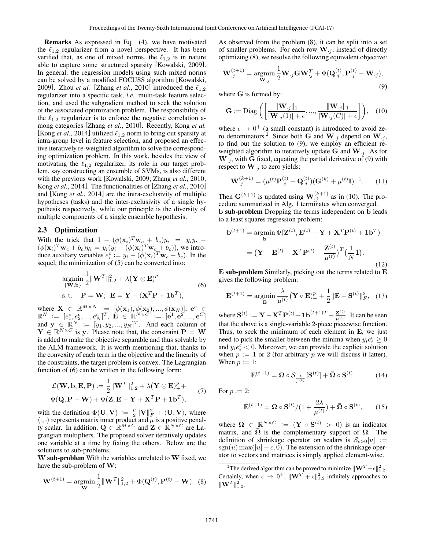Remarks As expressed in Eq. (4), we have motivated the  $\ell_{1,2}$  regularizer from a novel perspective. It has been verified that, as one of mixed norms, the  $\ell_{1,2}$  is in nature able to capture some structured sparsity [Kowalski, 2009]. In general, the regression models using such mixed norms can be solved by a modified FOCUSS algorithm [Kowalski, 2009]. Zhou *et al.* [Zhang *et al.*, 2010] introduced the  $\ell_{1,2}$ regularizer into a specific task, *i.e.* multi-task feature selection, and used the subgradient method to seek the solution of the associated optimization problem. The responsibility of the  $\ell_{1,2}$  regularizer is to enforce the negative correlation among categories [Zhang *et al.*, 2010]. Recently, Kong *et al.* [Kong *et al.*, 2014] utilized  $\ell_{1,2}$  norm to bring out sparsity at intra-group level in feature selection, and proposed an effective iteratively re-weighted algorithm to solve the corresponding optimization problem. In this work, besides the view of motivating the  $\ell_{1,2}$  regularizer, its role in our target problem, say constructing an ensemble of SVMs, is also different with the previous work [Kowalski, 2009; Zhang *et al.*, 2010; Kong *et al.*, 2014]. The functionalities of [Zhang *et al.*, 2010] and [Kong *et al.*, 2014] are the intra-exclusivity of multiple hypotheses (tasks) and the inter-exclusivity of a single hypothesis respectively, while our principle is the diversity of multiple components of a single ensemble hypothesis.

### 2.3 Optimization

With the trick that  $1 - (\phi(\mathbf{x}_i)^T \mathbf{w}_c + b_c) y_i = y_i y_i (\phi(\mathbf{x}_i)^T \mathbf{w}_c + b_c) y_i = y_i (y_i - (\phi(\mathbf{x}_i)^T \mathbf{w}_c + b_c))$ , we introduce auxiliary variables  $e_i^c := y_i - (\phi(\mathbf{x}_i)^T \mathbf{w}_c + b_c)$ . In the sequel, the minimization of (5) can be converted into:

$$
\underset{\{\mathbf{W},\mathbf{b}\}}{\text{argmin}} \frac{1}{2} \|\mathbf{W}^T\|_{1,2}^2 + \lambda (\mathbf{Y} \odot \mathbf{E})_+^p
$$
\ns.t. 
$$
\mathbf{P} = \mathbf{W}; \ \mathbf{E} = \mathbf{Y} - (\mathbf{X}^T \mathbf{P} + \mathbf{1b}^T),
$$
\n(6)

where  $\mathbf{X} \in \mathbb{R}^{M \times N} := [\phi(\mathbf{x}_1), \phi(\mathbf{x}_2), ..., \phi(\mathbf{x}_N)], \mathbf{e}^c \in$  $\mathbb{R}^N \; := \; [e_1^c, e_2^c, ..., e_N^c]^T, \; \mathbf{E} \; \in \; \mathbb{\bar{R}}_+^{N \times \bar{C}'} := \; [\mathbf{e}^1, \mathbf{e}^2, ..., \mathbf{e}^C]$ and  $\mathbf{y} \in \mathbb{R}^N := [y_1, y_2, ..., y_N]^T$ . And each column of  $\mathbf{Y} \in \mathbb{R}^{N \times C}$  is y. Please note that, the constraint  $\mathbf{P} = \mathbf{W}$ is added to make the objective separable and thus solvable by the ALM framework. It is worth mentioning that, thanks to the convexity of each term in the objective and the linearity of the constraints, the target problem is convex. The Lagrangian function of (6) can be written in the following form:

$$
\mathcal{L}(\mathbf{W}, \mathbf{b}, \mathbf{E}, \mathbf{P}) := \frac{1}{2} ||\mathbf{W}^T||_{1,2}^2 + \lambda (\mathbf{Y} \odot \mathbf{E})_+^p +
$$
  

$$
\Phi(\mathbf{Q}, \mathbf{P} - \mathbf{W}) + \Phi(\mathbf{Z}, \mathbf{E} - \mathbf{Y} + \mathbf{X}^T \mathbf{P} + \mathbf{1b}^T),
$$
 (7)

with the definition  $\Phi(\mathbf{U}, \mathbf{V}) := \frac{\mu}{2} ||\mathbf{V}||^2_F + \langle \mathbf{U}, \mathbf{V} \rangle$ , where which the definition  $\psi(\mathbf{C}, \mathbf{V}) := \frac{1}{2} \|\mathbf{V}\|_F + \langle \mathbf{C}, \mathbf{V} \rangle$ , where  $\langle \cdot, \cdot \rangle$  represents matrix inner product and  $\mu$  is a positive penalty scalar. In addition,  $\mathbf{Q} \in \mathbb{R}^{M \times C}$  and  $\mathbf{Z} \in \mathbb{R}^{N \times C}$  are Lagrangian multipliers. The proposed solver iteratively updates one variable at a time by fixing the others. Below are the solutions to sub-problems.

W sub-problem With the variables unrelated to W fixed, we have the sub-problem of W:

$$
\mathbf{W}^{(t+1)} = \underset{\mathbf{W}}{\text{argmin}} \frac{1}{2} ||\mathbf{W}^T||_{1,2}^2 + \Phi(\mathbf{Q}^{(t)}, \mathbf{P}^{(t)} - \mathbf{W}). \tag{8}
$$

As observed from the problem (8), it can be split into a set of smaller problems. For each row  $W_{i,j}$ , instead of directly optimizing (8), we resolve the following equivalent objective:

$$
\mathbf{W}_{\cdot j}^{(t+1)} = \underset{\mathbf{W}_{\cdot j}}{\text{argmin}} \frac{1}{2} \mathbf{W}_{\cdot j} \mathbf{G} \mathbf{W}_{\cdot j}^T + \Phi(\mathbf{Q}_{\cdot j}^{(t)}, \mathbf{P}_{\cdot j}^{(t)} - \mathbf{W}_{\cdot j}),
$$
\n(9)

where G is formed by:

$$
\mathbf{G} := \text{Diag}\left(\left[\frac{\|\mathbf{W}_{\cdot j}\|_1}{|\mathbf{W}_{\cdot j}(1)| + \epsilon}, \dots, \frac{\|\mathbf{W}_{\cdot j}\|_1}{|\mathbf{W}_{\cdot j}(C)| + \epsilon}\right]\right), \quad (10)
$$

where  $\epsilon \to 0^+$  (a small constant) is introduced to avoid zero denominators.<sup>2</sup> Since both G and W<sub>·j</sub> depend on W<sub>·j</sub>, to find out the solution to (9), we employ an efficient reweighted algorithm to iteratively update G and  $W_{i,j}$ . As for  $\mathbf{W}_{i,j}$ , with G fixed, equating the partial derivative of (9) with respect to  $\mathbf{W}_{\cdot j}$  to zero yields:

$$
\mathbf{W}_{.j}^{(k+1)} = (\mu^{(t)} \mathbf{P}_{.j}^{(t)} + \mathbf{Q}_{.j}^{(t)}) (\mathbf{G}^{(k)} + \mu^{(t)} \mathbf{I})^{-1}.
$$
 (11)

Then  $\mathbf{G}^{(k+1)}$  is updated using  $\mathbf{W}_{j}^{(k+1)}$  as in (10). The procedure summarized in Alg. 1 terminates when converged. b sub-problem Dropping the terms independent on b leads to a least squares regression problem:

$$
\mathbf{b}^{(t+1)} = \operatorname*{argmin}_{\mathbf{b}} \Phi(\mathbf{Z}^{(t)}, \mathbf{E}^{(t)} - \mathbf{Y} + \mathbf{X}^T \mathbf{P}^{(t)} + \mathbf{1b}^T)
$$

$$
= (\mathbf{Y} - \mathbf{E}^{(t)} - \mathbf{X}^T \mathbf{P}^{(t)} - \frac{\mathbf{Z}^{(t)}}{\mu^{(t)}})^T (\frac{1}{N} \mathbf{1}).
$$
(12)

E sub-problem Similarly, picking out the terms related to E gives the following problem:

$$
\mathbf{E}^{(t+1)} = \operatorname*{argmin}_{\mathbf{E}} \frac{\lambda}{\mu^{(t)}} (\mathbf{Y} \circ \mathbf{E})_+^p + \frac{1}{2} \|\mathbf{E} - \mathbf{S}^{(t)}\|_F^2, \quad (13)
$$

where  $\mathbf{S}^{(t)} := \mathbf{Y} - \mathbf{X}^T \mathbf{P}^{(t)} - \mathbf{1} \mathbf{b}^{(t+1)T} - \frac{\mathbf{Z}^{(t)}}{\mu(t)}$  $\frac{\mathbf{Z}^{(0)}}{\mu^{(t)}}$ . It can be seen that the above is a single-variable 2-piece piecewise function. Thus, to seek the minimum of each element in  $E$ , we just need to pick the smaller between the minima when  $y_i e_i^c \geq 0$ and  $y_i e_i^c < 0$ . Moreover, we can provide the explicit solution when  $p := 1$  or 2 (for arbitrary p we will discuss it latter). When  $p := 1$ :

$$
\mathbf{E}^{(t+1)} = \mathbf{\Omega} \circ \mathcal{S}_{\frac{\lambda}{\mu^{(t)}}}[\mathbf{S}^{(t)}] + \bar{\mathbf{\Omega}} \circ \mathbf{S}^{(t)}.
$$
 (14)

For  $p := 2$ :

$$
\mathbf{E}^{(t+1)} = \mathbf{\Omega} \circ \mathbf{S}^{(t)} / (1 + \frac{2\lambda}{\mu^{(t)}}) + \mathbf{\bar{\Omega}} \circ \mathbf{S}^{(t)},\qquad(15)
$$

where  $\mathbf{\Omega} \in \mathbb{R}^{N \times C} := (\mathbf{Y} \circ \mathbf{S}^{(t)} > 0)$  is an indicator matrix, and  $\overline{\Omega}$  is the complementary support of  $\Omega$ . The definition of shrinkage operator on scalars is  $S_{\epsilon>0}[u] :=$  $sgn(u)$  max(|u| –  $\epsilon$ , 0). The extension of the shrinkage operator to vectors and matrices is simply applied element-wise.

<sup>2</sup>The derived algorithm can be proved to minimize  $\|\mathbf{W}^T + \epsilon \|^2_{1,2}$ . Certainly, when  $\epsilon \to 0^+$ ,  $\|\mathbf{W}^T + \epsilon\|_{1,2}^2$  infinitely approaches to  $\|\mathbf{W}^T\|_{1,2}^2.$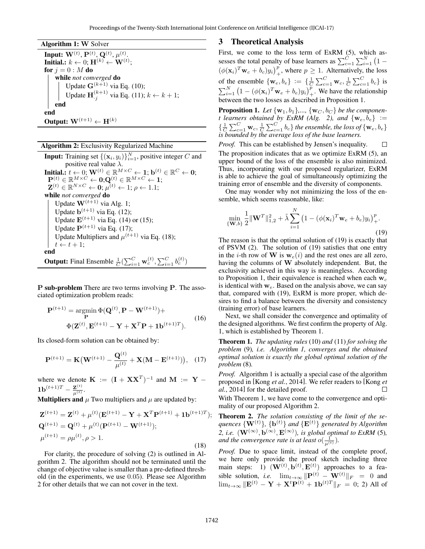| <b>Algorithm 1: W Solver</b>                                                                                    |
|-----------------------------------------------------------------------------------------------------------------|
| <b>Input:</b> $W^{(t)}$ , $P^{(t)}$ , $Q^{(t)}$ , $\mu^{(t)}$ .                                                 |
| Initial.: $k \leftarrow 0; H^{(k)} \leftarrow W^{(t)};$                                                         |
| for $j=0:M$ do                                                                                                  |
| while not converged do                                                                                          |
|                                                                                                                 |
| Update $\mathbf{G}^{(k+1)}$ via Eq. (10);<br>Update $\mathbf{H}_{i}^{(k+1)}$ via Eq. (11); $k \leftarrow k+1$ ; |
| end                                                                                                             |
| end                                                                                                             |
| Output: $\mathbf{W}^{(t+1)} \leftarrow \mathbf{H}^{(k)}$                                                        |

### Algorithm 2: Exclusivity Regularized Machine

**Input:** Training set  $\{(\mathbf{x}_i, y_i)\}_{i=1}^N$ , positive integer C and positive real value  $\lambda$ . Initial.:  $t \leftarrow 0; \mathbf{W}^{(t)} \in \mathbb{R}^{M \times C} \leftarrow \mathbf{1}; \mathbf{b}^{(t)} \in \mathbb{R}^{C} \leftarrow \mathbf{0};$  $\mathbf{P}^{(t)} \in \mathbb{R}^{M \times \dot{C}} \leftarrow \mathbf{0}; \mathbf{Q}^{(t)} \in \mathbb{R}^{M \times C} \leftarrow \mathbf{1};$  $\mathbf{Z}^{(t)} \in \mathbb{R}^{N \times C} \leftarrow \mathbf{0}; \mu^{(t)} \leftarrow 1; \rho \leftarrow 1.1;$ while *not converged* do Update  $\mathbf{W}^{(t+1)}$  via Alg. 1; Update  $\mathbf{b}^{(t+1)}$  via Eq. (12); Update  $E^{(t+1)}$  via Eq. (14) or (15); Update  $\mathbf{P}^{(t+1)}$  via Eq. (17); Update Multipliers and  $\mu^{(t+1)}$  via Eq. (18);  $t \leftarrow t + 1;$ end **Output:** Final Ensemble  $\frac{1}{C}(\sum_{i=1}^{C} \mathbf{w}_c^{(t)}, \sum_{i=1}^{C} b_c^{(t)})$ 

P sub-problem There are two terms involving P. The associated optimization problem reads:

$$
\mathbf{P}^{(t+1)} = \underset{\mathbf{P}}{\operatorname{argmin}} \ \Phi(\mathbf{Q}^{(t)}, \mathbf{P} - \mathbf{W}^{(t+1)}) +
$$
  
\n
$$
\Phi(\mathbf{Z}^{(t)}, \mathbf{E}^{(t+1)} - \mathbf{Y} + \mathbf{X}^T \mathbf{P} + \mathbf{1b}^{(t+1)T}).
$$
\n(16)

Its closed-form solution can be obtained by:

$$
\mathbf{P}^{(t+1)} = \mathbf{K} \big( \mathbf{W}^{(t+1)} - \frac{\mathbf{Q}^{(t)}}{\mu^{(t)}} + \mathbf{X} (\mathbf{M} - \mathbf{E}^{(t+1)}) \big), \quad (17)
$$

where we denote  $\mathbf{K} := (\mathbf{I} + \mathbf{X}\mathbf{X}^T)^{-1}$  and  $\mathbf{M} := \mathbf{Y} - \mathbf{A}$  $1{\bf b}^{(t+1)T}-\frac{{\bf z}^{(t)}}{\mu(t)}$  $\frac{\mathbf{Z}^{(t)}}{\mu^{(t)}}$ .

**Multipliers and**  $\mu$  Two multipliers and  $\mu$  are updated by:

$$
\mathbf{Z}^{(t+1)} = \mathbf{Z}^{(t)} + \mu^{(t)} (\mathbf{E}^{(t+1)} - \mathbf{Y} + \mathbf{X}^T \mathbf{P}^{(t+1)} + \mathbf{1b}^{(t+1)T});
$$
  
\n
$$
\mathbf{Q}^{(t+1)} = \mathbf{Q}^{(t)} + \mu^{(t)} (\mathbf{P}^{(t+1)} - \mathbf{W}^{(t+1)});
$$
  
\n
$$
\mu^{(t+1)} = \rho \mu^{(t)}, \rho > 1.
$$
\n(18)

For clarity, the procedure of solving (2) is outlined in Algorithm 2. The algorithm should not be terminated until the change of objective value is smaller than a pre-defined threshold (in the experiments, we use 0.05). Please see Algorithm 2 for other details that we can not cover in the text.

### 3 Theoretical Analysis

First, we come to the loss term of ExRM (5), which assesses the total penalty of base learners as  $\sum_{c=1}^{C} \sum_{i=1}^{N} (1 (\phi(\mathbf{x}_i)^T \mathbf{w}_c + b_c) y_i)_+^p$ , where  $p \ge 1$ . Alternatively, the loss of the ensemble  $\{\mathbf{w}_e, b_e\} := \{\frac{1}{C} \sum_{c=1}^{C} \mathbf{w}_c, \frac{1}{C} \sum_{c=1}^{C} b_c\}$  is  $\sum_{i=1}^{N} (1 - (\phi(\mathbf{x}_i)^T \mathbf{w}_e + b_e) y_i)_+^p$ . We have the relationship between the two losses as described in Proposition 1.

**Proposition 1.** Let  $\{w_1, b_1\}$ ,  $\ldots$ ,  $\{w_C, b_C\}$  *be the component* learners obtained by ExRM (Alg. 2), and  $\{w_e, \bar{b}_e\}$  :=  $\{\frac{1}{C}\sum_{c=1}^C\mathbf{w}_c,\frac{1}{C}\sum_{c=1}^Cb_c\}$  the ensemble, the loss of  $\{\mathbf{w}_e,b_e\}$ *is bounded by the average loss of the base learners.*

*Proof.* This can be established by Jensen's inequality.  $\Box$ The proposition indicates that as we optimize ExRM (5), an upper bound of the loss of the ensemble is also minimized. Thus, incorporating with our proposed regularizer, ExRM is able to achieve the goal of simultaneously optimizing the training error of ensemble and the diversity of components.

One may wonder why not minimizing the loss of the ensemble, which seems reasonable, like:

$$
\min_{\{\mathbf{W},b\}} \frac{1}{2} \|\mathbf{W}^T\|_{1,2}^2 + \tilde{\lambda} \sum_{i=1}^N \left(1 - (\phi(\mathbf{x}_i)^T \mathbf{w}_e + b_e) y_i\right)_+^p.
$$
\n(19)

The reason is that the optimal solution of (19) is exactly that of PSVM (2). The solution of (19) satisfies that one entry in the *i*-th row of W is  $w_e(i)$  and the rest ones are all zero, having the columns of W absolutely independent. But, the exclusivity achieved in this way is meaningless. According to Proposition 1, their equivalence is reached when each  $w_c$ is identical with  $w_e$ . Based on the analysis above, we can say that, compared with (19), ExRM is more proper, which desires to find a balance between the diversity and consistency (training error) of base learners.

Next, we shall consider the convergence and optimality of the designed algorithms. We first confirm the property of Alg. 1, which is established by Theorem 1.

Theorem 1. *The updating rules* (10) *and* (11) *for solving the problem* (9)*, i.e. Algorithm 1, converges and the obtained optimal solution is exactly the global optimal solution of the problem* (8)*.*

*Proof.* Algorithm 1 is actually a special case of the algorithm proposed in [Kong *et al.*, 2014]. We refer readers to [Kong *et al.*, 2014] for the detailed proof.  $\Box$ 

With Theorem 1, we have come to the convergence and optimality of our proposed Algorithm 2.

Theorem 2. *The solution consisting of the limit of the sequences*  ${ \mathbf{W}^{(t)} }$ ,  ${ \mathbf{b}^{(t)} }$  *and*  ${ \mathbf{E}^{(t)} }$  *generated by Algorithm* 2, *i.e.*  $(W^{(\infty)}, b^{(\infty)}, E^{(\infty)})$ *, is global optimal to ExRM* (5)*,* and the convergence rate is at least  $o(\frac{1}{\mu^{(t)}})$ .

*Proof.* Due to space limit, instead of the complete proof, we here only provide the proof sketch including three main steps: 1)  $(\mathbf{W}^{(t)}, \mathbf{b}^{(t)}, \mathbf{E}^{(t)})$  approaches to a feasible solution, *i.e.*  $\lim_{t\to\infty} ||\mathbf{P}^{(t)} - \mathbf{W}^{(t)}||_F = 0$  and  $\lim_{t\rightarrow\infty}\|\mathbf{E}^{(t)}-\mathbf{Y}+\mathbf{X}^{t}\mathbf{P}^{(t)}+\mathbf{1}\mathbf{b}^{(t)T}\|_{F} \,=\,0;\,2)$  All of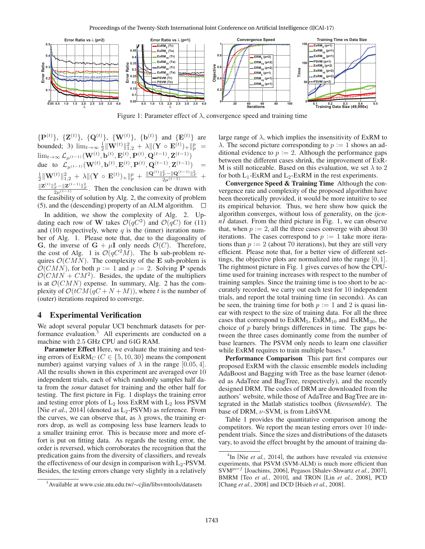

Figure 1: Parameter effect of  $\lambda$ , convergence speed and training time

 ${\bf P}^{(t)}$ ,  ${\bf Z}^{(t)}$ ,  ${\bf Q}^{(t)}$ ,  ${\bf W}^{(t)}$ ,  ${\bf W}^{(t)}$ ,  ${\bf b}^{(t)}$  and  ${\bf E}^{(t)}$  are bounded; 3)  $\lim_{t\to\infty} \frac{1}{2} \|\mathbf{W}^{(t)}\|_{1,2}^2 + \lambda \|(\mathbf{Y} \circ \mathbf{E}^{(t)})_+\|_p^p =$  $\lim_{t\to\infty} \mathcal{L}_{\mu^{(t-1)}}(\mathbf{W}^{(t)}, \mathbf{b}^{(t)}, \mathbf{E}^{(t)}, \mathbf{P}^{(t)}, \mathbf{Q}^{(t-1)}, \mathbf{Z}^{(t-1)})$ <br>due to  $\mathcal{L}(\mathbf{W}^{(t)}, \mathbf{b}^{(t)}, \mathbf{E}^{(t)}, \mathbf{P}^{(t)}, \mathbf{Q}^{(t-1)}, \mathbf{Z}^{(t-1)})$ due to  $\mathcal{L}_{\mu(t-1)}(\mathbf{W}^{(t)}, \mathbf{b}^{(t)}, \mathbf{E}^{(t)}, \mathbf{P}^{(t)}, \mathbf{Q}^{(t-1)}, \mathbf{Z}^{(t-1)}) =$  $\frac{1}{2} \|\mathbf{W}^{(t)}\|_{1,2}^2 + \lambda \|(\mathbf{Y} \circ \mathbf{E}^{(t)})_+\|_p^p + \frac{\|\mathbf{Q}^{(t)}\|_F^2 - \|\mathbf{Q}^{(t-1)}\|_F^2}{2\mu^{(t-1)}} +$  $\frac{\|\mathbf{Z}^{(t)}\|_F^2 - \|\mathbf{Z}^{(t-1)}\|_F^2}{2\mu^{(t-1)}}$ . Then the conclusion can be drawn with the feasibility of solution by Alg. 2, the convexity of problem (5), and the (descending) property of an ALM algorithm.  $\Box$ 

In addition, we show the complexity of Alg. 2. Updating each row of **W** takes  $\mathcal{O}(qC^2)$  and  $\mathcal{O}(qC)$  for (11) and (10) respectively, where q is the (inner) iteration number of Alg. 1. Please note that, due to the diagonality of **G**, the inverse of  $G + \mu I$  only needs  $\mathcal{O}(C)$ . Therefore, the cost of Alg. 1 is  $\mathcal{O}(qC^2M)$ . The **b** sub-problem requires  $\mathcal{O}(CMN)$ . The complexity of the **E** sub-problem is  $\mathcal{O}(CMN)$ , for both  $p := 1$  and  $p := 2$ . Solving **P** spends  $\mathcal{O}(CMN + CM^2)$ . Besides, the update of the multipliers is at  $\mathcal{O}(CMN)$  expense. In summary, Alg. 2 has the complexity of  $\mathcal{O}(tCM(qC+N+M))$ , where t is the number of (outer) iterations required to converge.

### 4 Experimental Verification

We adopt several popular UCI benchmark datasets for performance evaluation.3 All experiments are conducted on a machine with 2.5 GHz CPU and 64G RAM.

Parameter Effect Here, we evaluate the training and testing errors of  $ExRM_C$  ( $C \in \{5, 10, 30\}$  means the component number) against varying values of  $\lambda$  in the range [0.05, 4]. All the results shown in this experiment are averaged over 10 independent trials, each of which randomly samples half data from the *sonar* dataset for training and the other half for testing. The first picture in Fig. 1 displays the training error and testing error plots of  $L_2$  loss ExRM with  $L_2$  loss PSVM [Nie *et al.*, 2014] (denoted as  $L_2$ -PSVM) as reference. From the curves, we can observe that, as  $\lambda$  grows, the training errors drop, as well as composing less base learners leads to a smaller training error. This is because more and more effort is put on fitting data. As regards the testing error, the order is reversed, which corroborates the recognition that the predication gains from the diversity of classifiers, and reveals the effectiveness of our design in comparison with  $L_2$ -PSVM. Besides, the testing errors change very slightly in a relatively large range of  $\lambda$ , which implies the insensitivity of ExRM to  $\lambda$ . The second picture corresponding to  $p := 1$  shows an additional evidence to  $p := 2$ . Although the performance gaps between the different cases shrink, the improvement of ExR-M is still noticeable. Based on this evaluation, we set  $\lambda$  to 2 for both  $L_1$ -ExRM and  $L_2$ -ExRM in the rest experiments.

Convergence Speed & Training Time Although the convergence rate and complexity of the proposed algorithm have been theoretically provided, it would be more intuitive to see its empirical behavior. Thus, we here show how quick the algorithm converges, without loss of generality, on the *ijcnn1* dataset. From the third picture in Fig. 1, we can observe that, when  $p := 2$ , all the three cases converge with about 30 iterations. The cases correspond to  $p := 1$  take more iterations than  $p := 2$  (about 70 iterations), but they are still very efficient. Please note that, for a better view of different settings, the objective plots are normalized into the range [0, 1]. The rightmost picture in Fig. 1 gives curves of how the CPUtime used for training increases with respect to the number of training samples. Since the training time is too short to be accurately recorded, we carry out each test for 10 independent trials, and report the total training time (in seconds). As can be seen, the training time for both  $p := 1$  and 2 is quasi linear with respect to the size of training data. For all the three cases that correspond to  $ExRM<sub>5</sub>$ ,  $ExRM<sub>10</sub>$  and  $ExRM<sub>30</sub>$ , the choice of  $p$  barely brings differences in time. The gaps between the three cases dominantly come from the number of base learners. The PSVM only needs to learn one classifier while ExRM requires to train multiple bases.<sup>4</sup>

Performance Comparison This part first compares our proposed ExRM with the classic ensemble models including AdaBoost and Bagging with Tree as the base learner (denoted as AdaTree and BagTree, respectively), and the recently designed DRM. The codes of DRM are downloaded from the authors' website, while those of AdaTree and BagTree are integrated in the Matlab statistics toolbox (*fitensemble*). The base of DRM,  $\nu$ -SVM, is from LibSVM.

Table 1 provides the quantitative comparison among the competitors. We report the mean testing errors over 10 independent trials. Since the sizes and distributions of the datasets vary, to avoid the effect brought by the amount of training da-

<sup>3</sup> Available at www.csie.ntu.edu.tw/∼cjlin/libsvmtools/datasets

<sup>&</sup>lt;sup>4</sup>In [Nie *et al.*, 2014], the authors have revealed via extensive experiments, that PSVM (SVM-ALM) is much more efficient than SVMperf [Joachims, 2006], Pegasos [Shalev-Shwartz *et al.*, 2007], BMRM [Teo *et al.*, 2010], and TRON [Lin *et al.*, 2008], PCD [Chang *et al.*, 2008] and DCD [Hsieh *et al.*, 2008].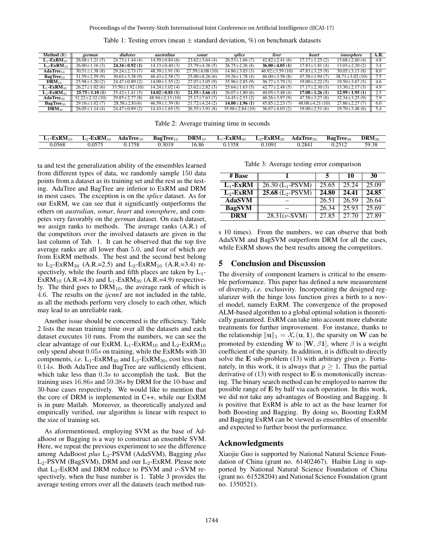| <b>Method</b> $(R)$       | german               | diabetes             | australian           | sonar                | splice               | liver                | heart                | ionosphere            | A.R. |
|---------------------------|----------------------|----------------------|----------------------|----------------------|----------------------|----------------------|----------------------|-----------------------|------|
| $L_1$ -ExRM <sub>10</sub> | $26.08 \pm 1.21(5)$  | $24.73 \pm 1.44$ (4) | $14.59 \pm 0.84$ (6) | $23.62 \pm 3.64(4)$  | $26.53 \pm 1.66(7)$  | $42.82 \pm 2.41(6)$  | $17.17 \pm 1.25$ (2) | $13.68 \pm 2.60(4)$   | 4.8  |
| $L_2$ -ExRM <sub>10</sub> | $26.00 \pm 1.16(3)$  | $24.34 \pm 0.92$ (1) | $14.13 \pm 0.40(3)$  | $23.79 \pm 4.36(5)$  | $26.75 \pm 2.26(8)$  | $36.00 \pm 4.05$ (1) | $17.83 \pm 1.81(4)$  | $13.03 \pm 2.20(2)$   | 3.4  |
| $\textbf{AdaTree}_{10}$   | $30.51 \pm 1.38(8)$  | $29.24 \pm 2.73(7)$  | $48.39 \pm 1.91(9)$  | $27.59\pm 6.08(10)$  | $14.86 \pm 3.03(3)$  | $46.92 \pm 3.59(10)$ | $47.83 \pm 3.25(9)$  | $30.05 \pm 3.13(8)$   | 8.0  |
| $BagTree_{10}$            | $31.59 \pm 2.59(9)$  | $30.63 \pm 3.38(9)$  | $46.43 \pm 2.58$ (7) | $25.00\pm8.26(6)$    | $19.26 \pm 1.78$ (4) | $46.00 \pm 3.58$ (8) | $47.58 \pm 1.94(7)$  | $38.71 \pm 3.02$ (10) | 7.5  |
| $\text{DRAM}_{10}$        | $25.98 \pm 1.20(2)$  | $24.47 \pm 0.89$ (2) | $14.09 \pm 1.55$ (2) | $27.07 \pm 3.05(9)$  | $35.96 \pm 2.85(9)$  | $36.77 \pm 3.79(3)$  | $19.00 \pm 2.22(5)$  | $19.50 \pm 3.67(5)$   | 4.6  |
| $L_1$ -ExRM <sub>30</sub> | $26.27 \pm 1.02(6)$  | $33.50 \pm 1.92(10)$ | $14.24 \pm 1.02$ (4) | $23.62 \pm 2.82$ (3) | $25.64 \pm 1.63(5)$  | $42.77 \pm 2.48(5)$  | $17.17 \pm 2.30(3)$  | $13.30 \pm 2.17(3)$   | 4.9  |
| $L_2$ -ExRM <sub>30</sub> | $25.75 \pm 1.10(1)$  | $25.42 \pm 1.41(5)$  | $14.02 \pm 0.81(1)$  | $21.55 \pm 3.66$ (1) | $26.07 \pm 1.80(6)$  | $40.05 \pm 3.48$ (4) | $17.08 \pm 1.26$ (1) | $12.99 \pm 1.95(1)$   | 2.5  |
| $\mathbf{AdaTree}_{30}$   | $32.22 \pm 2.32(10)$ | $29.85 \pm 2.77(8)$  | $48.94 \pm 2.13(10)$ | $25.17 \pm 7.63(7)$  | $14.45 \pm 2.53$ (2) | $46.26 \pm 3.97(9)$  | $47.58 \pm 3.27(8)$  | $32.34 \pm 3.25(9)$   | 7.9  |
| BagTree <sub>30</sub>     | $29.16 \pm 1.02(7)$  | $28.58 \pm 2.81(6)$  | $46.59 \pm 1.39(8)$  | $21.72 \pm 4.24$ (2) | $14.00 \pm 1.96$ (1) | $45.85 \pm 2.23(7)$  | $48.08\pm4.21(10)$   | $27.86 \pm 2.27(7)$   | 6.0  |
| $\mathrm{DRM}_{30}$       | $26.05 \pm 1.14(4)$  | $24.47 \pm 0.89$ (2) | $14.43 \pm 1.65(5)$  | $26.55 \pm 3.91(8)$  | $35.98 \pm 2.84(10)$ | $36.67 \pm 4.03(2)$  | $19.00 \pm 2.51(6)$  | $19.70 \pm 3.48(6)$   | 5.4  |

Table 1: Testing errors (mean  $\pm$  standard deviation, %) on benchmark datasets

Table 2: Average training time in seconds

| $L_1$ -ExRM <sub>10</sub> | $L_2$ -ExRM <sub>10</sub> | $\mathbf{AdaTree}_{10}$ | $BagTree_{10}$ | $\text{DRM}_{10}$ | $L_1$ -ExRM <sub>30</sub> | $L_2$ -ExRM <sub>30</sub> | $\mathbf{AdaTree}_{30}$ | BagTree <sub>30</sub> | $\mathrm{DRM}_{30}$ |
|---------------------------|---------------------------|-------------------------|----------------|-------------------|---------------------------|---------------------------|-------------------------|-----------------------|---------------------|
| 0.0568                    | 0.0575                    | 0.1758                  | 0.3019         | 16.86             | 0.1358                    | J.1091                    | 0.2841                  | 0.2512                | 59.38               |

ta and test the generalization ability of the ensembles learned from different types of data, we randomly sample 150 data points from a dataset as its training set and the rest as the testing. AdaTree and BagTree are inferior to ExRM and DRM in most cases. The exception is on the *splice* dataset. As for our ExRM, we can see that it significantly outperforms the others on *australian*, *sonar*, *heart* and *ionosphere*, and competes very favorably on the *german* dataset. On each dataset, we assign ranks to methods. The average ranks (A.R.) of the competitors over the involved datasets are given in the last column of Tab. 1. It can be observed that the top five average ranks are all lower than 5.0, and four of which are from ExRM methods. The best and the second best belong to  $L_2$ -ExRM<sub>30</sub> (A.R.=2.5) and  $L_2$ -ExRM<sub>10</sub> (A.R.=3.4) respectively, while the fourth and fifth places are taken by  $L_1$ -ExRM<sub>10</sub> (A.R.=4.8) and L<sub>1</sub>-ExRM<sub>30</sub> (A.R.=4.9) respectively. The third goes to  $DRM<sub>10</sub>$ , the average rank of which is 4.6. The results on the *ijcnn1* are not included in the table, as all the methods perform very closely to each other, which may lead to an unreliable rank.

Another issue should be concerned is the efficiency. Table 2 lists the mean training time over all the datasets and each dataset executes 10 runs. From the numbers, we can see the clear advantage of our ExRM.  $L_1$ -ExRM<sub>10</sub> and  $L_2$ -ExRM<sub>10</sub> only spend about 0.05s on training, while the ExRMs with 30 components, *i.e.*  $L_1$ -ExRM<sub>30</sub> and  $L_2$ -ExRM<sub>30</sub>, cost less than 0.14s. Both AdaTree and BagTree are sufficiently efficient, which take less than  $0.3s$  to accomplish the task. But the training uses 16.86s and 59.38s by DRM for the 10-base and 30-base cases respectively. We would like to mention that the core of DRM is implemented in C++, while our ExRM is in pure Matlab. Moreover, as theoretically analyzed and empirically verified, our algorithm is linear with respect to the size of training set.

As aforementioned, employing SVM as the base of AdaBoost or Bagging is a way to construct an ensemble SVM. Here, we repeat the previous experiment to see the difference among AdaBoost *plus* L<sub>2</sub>-PSVM (AdaSVM), Bagging *plus*  $L_2$ -PSVM (BagSVM), DRM and our  $L_2$ -ExRM. Please note that  $L_2$ -ExRM and DRM reduce to PSVM and  $\nu$ -SVM respectively, when the base number is 1. Table 3 provides the average testing errors over all the datasets (each method run-

Table 3: Average testing error comparison

| # Base                |                                |       | 10    | 30    |
|-----------------------|--------------------------------|-------|-------|-------|
| $L_1$ -ExRM           | $26.30$ (L <sub>1</sub> -PSVM) | 25.65 | 25.24 | 25.09 |
| $L_2$ -ExRM           | $25.68$ (L <sub>2</sub> -PSVM) | 24.80 | 24.41 | 24.85 |
| <b>AdaSVM</b>         |                                | 26.51 | 26.59 | 26.64 |
| <b>BagSVM</b>         |                                | 26.34 | 25.93 | 25.69 |
| $\overline{\rm{DRM}}$ | $28.31(\nu$ -SVM)              | 27.85 | 27.70 | 27.89 |

s 10 times). From the numbers, we can observe that both AdaSVM and BagSVM outperform DRM for all the cases, while ExRM shows the best results among the competitors.

### 5 Conclusion and Discussion

The diversity of component learners is critical to the ensemble performance. This paper has defined a new measurement of diversity, *i.e.* exclusivity. Incorporating the designed regularizer with the hinge loss function gives a birth to a novel model, namely ExRM. The convergence of the proposed ALM-based algorithm to a global optimal solution is theoretically guaranteed. ExRM can take into account more elaborate treatments for further improvement. For instance, thanks to the relationship  $\|\mathbf{u}\|_1 = \mathcal{X}_r(\mathbf{u}, \mathbf{1})$ , the sparsity on W can be promoted by extending W to [W,  $\beta$ 1], where  $\beta$  is a weight coefficient of the sparsity. In addition, it is difficult to directly solve the E sub-problem  $(13)$  with arbitrary given p. Fortunately, in this work, it is always that  $p \geq 1$ . Thus the partial derivative of  $(13)$  with respect to **E** is monotonically increasing. The binary search method can be employed to narrow the possible range of E by half via each operation. In this work, we did not take any advantages of Boosting and Bagging. It is positive that ExRM is able to act as the base learner for both Boosting and Bagging. By doing so, Boosting ExRM and Bagging ExRM can be viewed as ensembles of ensemble and expected to further boost the performance.

### Acknowledgments

Xiaojie Guo is supported by National Natural Science Foundation of China (grant no. 61402467). Haibin Ling is supported by National Natural Science Foundation of China (grant no. 61528204) and National Science Foundation (grant no. 1350521).